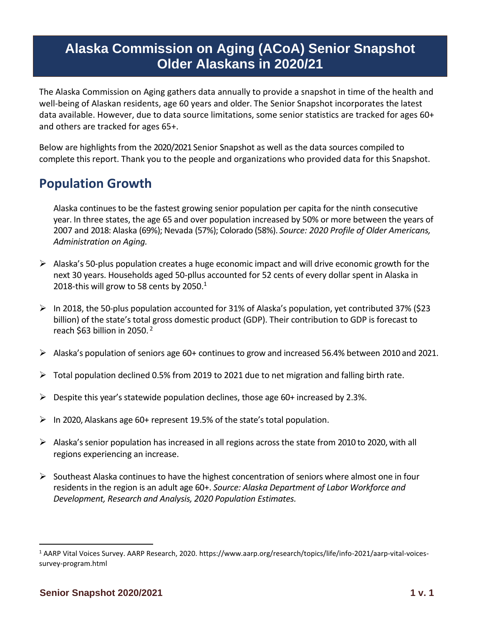# **Alaska Commission on Aging (ACoA) Senior Snapshot Older Alaskans in 2020/21**

The Alaska Commission on Aging gathers data annually to provide a snapshot in time of the health and well-being of Alaskan residents, age 60 years and older. The Senior Snapshot incorporates the latest data available. However, due to data source limitations, some senior statistics are tracked for ages 60+ and others are tracked for ages 65+.

Below are highlights from the 2020/2021 Senior Snapshot as well as the data sources compiled to complete this report. Thank you to the people and organizations who provided data for this Snapshot.

# **Population Growth**

Alaska continues to be the fastest growing senior population per capita for the ninth consecutive year. In three states, the age 65 and over population increased by 50% or more between the years of 2007 and 2018: Alaska (69%); Nevada (57%); Colorado (58%). *Source: 2020 Profile of Older Americans, Administration on Aging.*

- $\triangleright$  Alaska's 50-plus population creates a huge economic impact and will drive economic growth for the next 30 years. Households aged 50-pllus accounted for 52 cents of every dollar spent in Alaska in 2018-this will grow to 58 cents by 2050. $1$
- ➢ In 2018, the 50-plus population accounted for 31% of Alaska's population, yet contributed 37% (\$23 billion) of the state's total gross domestic product (GDP). Their contribution to GDP is forecast to reach \$63 billion in 2050. <sup>2</sup>
- ➢ Alaska's population of seniors age 60+ continues to grow and increased 56.4% between 2010 and 2021.
- $\triangleright$  Total population declined 0.5% from 2019 to 2021 due to net migration and falling birth rate.
- $\triangleright$  Despite this year's statewide population declines, those age 60+ increased by 2.3%.
- ➢ In 2020, Alaskans age 60+ represent 19.5% of the state's total population.
- ➢ Alaska's senior population has increased in all regions across the state from 2010 to 2020, with all regions experiencing an increase.
- $\triangleright$  Southeast Alaska continues to have the highest concentration of seniors where almost one in four residents in the region is an adult age 60+. *Source: Alaska Department of Labor Workforce and Development, Research and Analysis, 2020 Population Estimates.*

<sup>1</sup> AARP Vital Voices Survey. AARP Research, 2020. https://www.aarp.org/research/topics/life/info-2021/aarp-vital-voicessurvey-program.html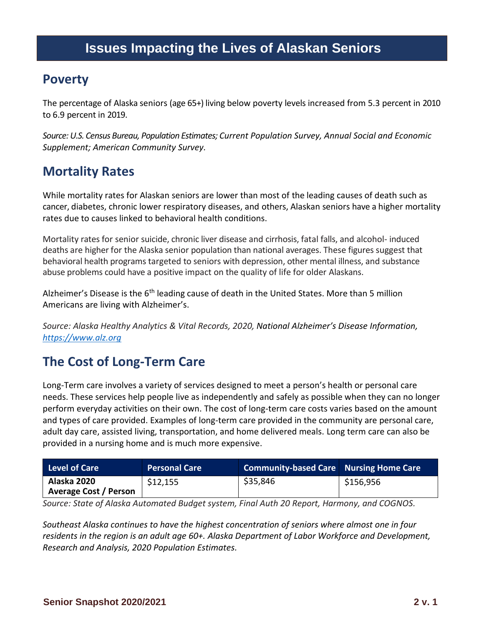# **Issues Impacting the Lives of Alaskan Seniors**

#### **Poverty**

The percentage of Alaska seniors (age 65+) living below poverty levels increased from 5.3 percent in 2010 to 6.9 percent in 2019.

*Source: U.S. Census Bureau, Population Estimates; Current Population Survey, Annual Social and Economic Supplement; American Community Survey.*

## **Mortality Rates**

While mortality rates for Alaskan seniors are lower than most of the leading causes of death such as cancer, diabetes, chronic lower respiratory diseases, and others, Alaskan seniors have a higher mortality rates due to causes linked to behavioral health conditions.

Mortality rates for senior suicide, chronic liver disease and cirrhosis, fatal falls, and alcohol- induced deaths are higher for the Alaska senior population than national averages. These figures suggest that behavioral health programs targeted to seniors with depression, other mental illness, and substance abuse problems could have a positive impact on the quality of life for older Alaskans.

Alzheimer's Disease is the 6<sup>th</sup> leading cause of death in the United States. More than 5 million Americans are living with Alzheimer's.

*Source: Alaska Healthy Analytics & Vital Records, 2020, National Alzheimer's Disease Information, [https://www.alz.org](https://www.alz.org/)*

# **The Cost of Long-Term Care**

Long-Term care involves a variety of services designed to meet a person's health or personal care needs. These services help people live as independently and safely as possible when they can no longer perform everyday activities on their own. The cost of long-term care costs varies based on the amount and types of care provided. Examples of long-term care provided in the community are personal care, adult day care, assisted living, transportation, and home delivered meals. Long term care can also be provided in a nursing home and is much more expensive.

| <b>Level of Care</b>                        | <b>Personal Care</b> | <b>Community-based Care Nursing Home Care</b> |           |
|---------------------------------------------|----------------------|-----------------------------------------------|-----------|
| Alaska 2020<br><b>Average Cost / Person</b> | \$12,155             | \$35,846                                      | \$156,956 |

*Source: State of Alaska Automated Budget system, Final Auth 20 Report, Harmony, and COGNOS.* 

*Southeast Alaska continues to have the highest concentration of seniors where almost one in four residents in the region is an adult age 60+. Alaska Department of Labor Workforce and Development, Research and Analysis, 2020 Population Estimates.*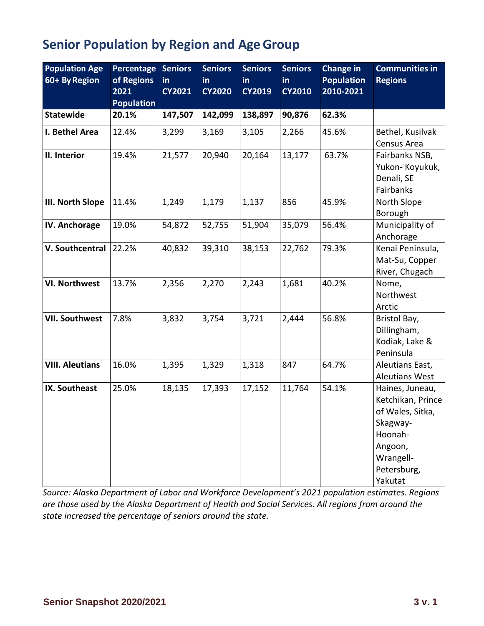# **Senior Population by Region and Age Group**

| <b>Population Age</b><br>60+ By Region | Percentage Seniors<br>of Regions<br>2021<br><b>Population</b> | in<br><b>CY2021</b> | <b>Seniors</b><br>in.<br><b>CY2020</b> | <b>Seniors</b><br><b>in</b><br><b>CY2019</b> | <b>Seniors</b><br>in<br><b>CY2010</b> | Change in<br><b>Population</b><br>2010-2021 | <b>Communities in</b><br><b>Regions</b>                                                                                           |
|----------------------------------------|---------------------------------------------------------------|---------------------|----------------------------------------|----------------------------------------------|---------------------------------------|---------------------------------------------|-----------------------------------------------------------------------------------------------------------------------------------|
| <b>Statewide</b>                       | 20.1%                                                         | 147,507             | 142,099                                | 138,897                                      | 90,876                                | 62.3%                                       |                                                                                                                                   |
| I. Bethel Area                         | 12.4%                                                         | 3,299               | 3,169                                  | 3,105                                        | 2,266                                 | 45.6%                                       | Bethel, Kusilvak<br>Census Area                                                                                                   |
| II. Interior                           | 19.4%                                                         | 21,577              | 20,940                                 | 20,164                                       | 13,177                                | 63.7%                                       | Fairbanks NSB,<br>Yukon-Koyukuk,<br>Denali, SE<br>Fairbanks                                                                       |
| III. North Slope                       | 11.4%                                                         | 1,249               | 1,179                                  | 1,137                                        | 856                                   | 45.9%                                       | North Slope<br>Borough                                                                                                            |
| IV. Anchorage                          | 19.0%                                                         | 54,872              | 52,755                                 | 51,904                                       | 35,079                                | 56.4%                                       | Municipality of<br>Anchorage                                                                                                      |
| V. Southcentral                        | 22.2%                                                         | 40,832              | 39,310                                 | 38,153                                       | 22,762                                | 79.3%                                       | Kenai Peninsula,<br>Mat-Su, Copper<br>River, Chugach                                                                              |
| <b>VI. Northwest</b>                   | 13.7%                                                         | 2,356               | 2,270                                  | 2,243                                        | 1,681                                 | 40.2%                                       | Nome,<br>Northwest<br>Arctic                                                                                                      |
| <b>VII. Southwest</b>                  | 7.8%                                                          | 3,832               | 3,754                                  | 3,721                                        | 2,444                                 | 56.8%                                       | Bristol Bay,<br>Dillingham,<br>Kodiak, Lake &<br>Peninsula                                                                        |
| <b>VIII. Aleutians</b>                 | 16.0%                                                         | 1,395               | 1,329                                  | 1,318                                        | 847                                   | 64.7%                                       | Aleutians East,<br><b>Aleutians West</b>                                                                                          |
| IX. Southeast                          | 25.0%                                                         | 18,135              | 17,393                                 | 17,152                                       | 11,764                                | 54.1%                                       | Haines, Juneau,<br>Ketchikan, Prince<br>of Wales, Sitka,<br>Skagway-<br>Hoonah-<br>Angoon,<br>Wrangell-<br>Petersburg,<br>Yakutat |

*Source: Alaska Department of Labor and Workforce Development's 2021 population estimates. Regions are those used by the Alaska Department of Health and Social Services. All regions from around the state increased the percentage of seniors around the state.*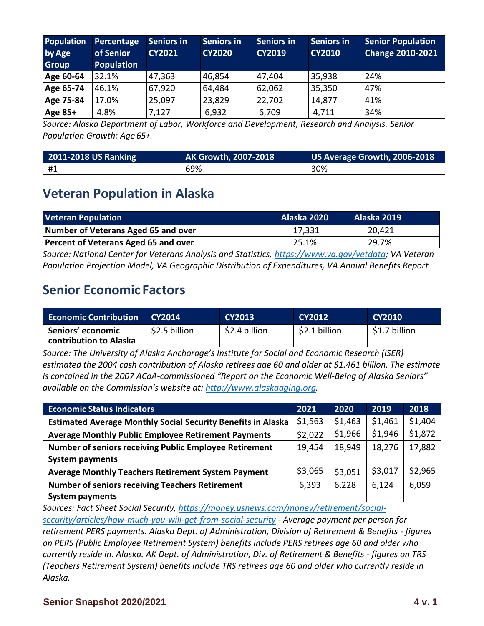| Population<br>by Age<br>Group | Percentage<br>of Senior<br><b>Population</b> | <b>Seniors in</b><br><b>CY2021</b> | <b>Seniors in</b><br><b>CY2020</b> | <b>Seniors in</b><br><b>CY2019</b> | <b>Seniors in</b><br><b>CY2010</b> | <b>Senior Population</b><br><b>Change 2010-2021</b> |
|-------------------------------|----------------------------------------------|------------------------------------|------------------------------------|------------------------------------|------------------------------------|-----------------------------------------------------|
| Age 60-64                     | 32.1%                                        | 47,363                             | 46,854                             | 47,404                             | 35,938                             | 24%                                                 |
| Age 65-74                     | 46.1%                                        | 67,920                             | 64,484                             | 62,062                             | 35,350                             | 47%                                                 |
| Age 75-84                     | 17.0%                                        | 25,097                             | 23,829                             | 22,702                             | 14,877                             | 41%                                                 |
| Age 85+                       | 4.8%                                         | 7,127                              | 6,932                              | 6,709                              | 4,711                              | 34%                                                 |

*Source: Alaska Department of Labor, Workforce and Development, Research and Analysis. Senior Population Growth: Age 65+.*

| 2011-2018 US Ranking | AK Growth, 2007-2018 | $\mid$ US Average Growth, 2006-2018 $\mid$ |
|----------------------|----------------------|--------------------------------------------|
| #1                   | 69%                  | 30%                                        |

#### **Veteran Population in Alaska**

| <b>Veteran Population</b>                   | Alaska 2020 | Alaska 2019 |
|---------------------------------------------|-------------|-------------|
| Number of Veterans Aged 65 and over         | 17,331      | 20,421      |
| <b>Percent of Veterans Aged 65 and over</b> | 25.1%       | 29.7%       |
|                                             |             |             |

*Source: National Center for Veterans Analysis and Statistics, [https://www.va.gov/vetdata;](https://www.va.gov/vetdata) VA Veteran Population Projection Model, VA Geographic Distribution of Expenditures, VA Annual Benefits Report*

#### **Senior Economic Factors**

| <b>Economic Contribution</b>                | CY2014        | <b>CY2013</b> | <b>CY2012</b> | <b>CY2010</b> |
|---------------------------------------------|---------------|---------------|---------------|---------------|
| Seniors' economic<br>contribution to Alaska | \$2.5 billion | \$2.4 billion | \$2.1 billion | \$1.7 billion |

*Source: The University of Alaska Anchorage's Institute for Social and Economic Research (ISER) estimated the 2004 cash contribution of Alaska retirees age 60 and older at \$1.461 billion. The estimate is contained in the 2007 ACoA-commissioned "Report on the Economic Well-Being of Alaska Seniors" available on the Commission's website at: [http://www.alaskaaging.org.](http://www.alaskaaging.org/)*

| <b>Economic Status Indicators</b>                                   | 2021    | 2020    | 2019    | 2018    |
|---------------------------------------------------------------------|---------|---------|---------|---------|
| <b>Estimated Average Monthly Social Security Benefits in Alaska</b> | \$1,563 | \$1,463 | \$1,461 | \$1,404 |
| <b>Average Monthly Public Employee Retirement Payments</b>          | \$2,022 | \$1,966 | \$1,946 | \$1,872 |
| <b>Number of seniors receiving Public Employee Retirement</b>       | 19,454  | 18,949  | 18,276  | 17,882  |
| <b>System payments</b>                                              |         |         |         |         |
| <b>Average Monthly Teachers Retirement System Payment</b>           | \$3,065 | \$3,051 | \$3,017 | \$2,965 |
| <b>Number of seniors receiving Teachers Retirement</b>              | 6,393   | 6,228   | 6,124   | 6,059   |
| <b>System payments</b>                                              |         |         |         |         |

*Sources: Fact Sheet Social Securi[ty,](http://www.ssa.gov/news/press/factsheets/colafacts2018.pdf) [https://money.usnews.com/money/retirement/social](https://money.usnews.com/money/retirement/social-security/articles/how-much-you-will-get-from-social-security)[security/articles/how-much-you-will-get-from-social-security](https://money.usnews.com/money/retirement/social-security/articles/how-much-you-will-get-from-social-security) - Average payment per person for retirement PERS payments. Alaska Dept. of Administration, Division of Retirement & Benefits - figures on PERS (Public Employee Retirement System) benefits include PERS retirees age 60 and older who currently reside in. Alaska. AK Dept. of Administration, Div. of Retirement & Benefits - figures on TRS (Teachers Retirement System) benefits include TRS retirees age 60 and older who currently reside in Alaska.*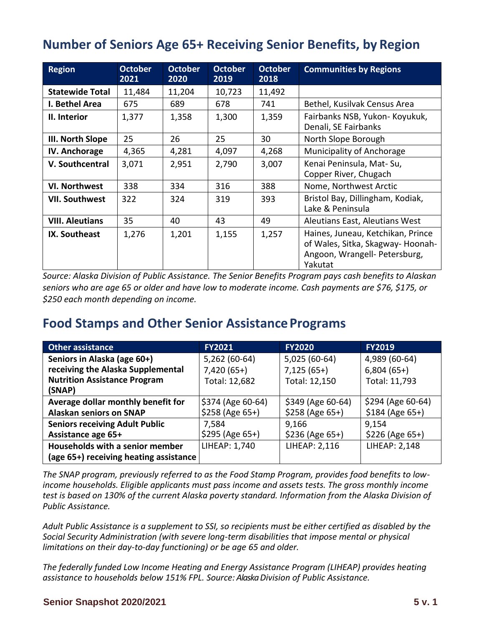## **Number of Seniors Age 65+ Receiving Senior Benefits, by Region**

| <b>Region</b>          | <b>October</b><br>2021 | <b>October</b><br>2020 | <b>October</b><br>2019 | October<br>2018 | <b>Communities by Regions</b>                                                                                     |
|------------------------|------------------------|------------------------|------------------------|-----------------|-------------------------------------------------------------------------------------------------------------------|
| <b>Statewide Total</b> | 11,484                 | 11,204                 | 10,723                 | 11,492          |                                                                                                                   |
| I. Bethel Area         | 675                    | 689                    | 678                    | 741             | Bethel, Kusilvak Census Area                                                                                      |
| II. Interior           | 1,377                  | 1,358                  | 1,300                  | 1,359           | Fairbanks NSB, Yukon- Koyukuk,<br>Denali, SE Fairbanks                                                            |
| III. North Slope       | 25                     | 26                     | 25                     | 30              | North Slope Borough                                                                                               |
| <b>IV. Anchorage</b>   | 4,365                  | 4,281                  | 4,097                  | 4,268           | Municipality of Anchorage                                                                                         |
| V. Southcentral        | 3,071                  | 2,951                  | 2,790                  | 3,007           | Kenai Peninsula, Mat-Su,<br>Copper River, Chugach                                                                 |
| <b>VI. Northwest</b>   | 338                    | 334                    | 316                    | 388             | Nome, Northwest Arctic                                                                                            |
| <b>VII. Southwest</b>  | 322                    | 324                    | 319                    | 393             | Bristol Bay, Dillingham, Kodiak,<br>Lake & Peninsula                                                              |
| <b>VIII. Aleutians</b> | 35                     | 40                     | 43                     | 49              | Aleutians East, Aleutians West                                                                                    |
| IX. Southeast          | 1,276                  | 1,201                  | 1,155                  | 1,257           | Haines, Juneau, Ketchikan, Prince<br>of Wales, Sitka, Skagway-Hoonah-<br>Angoon, Wrangell- Petersburg,<br>Yakutat |

*Source: Alaska Division of Public Assistance. The Senior Benefits Program pays cash benefits to Alaskan seniors who are age 65 or older and have low to moderate income. Cash payments are \$76, \$175, or \$250 each month depending on income.* 

#### **Food Stamps and Other Senior AssistancePrograms**

| <b>Other assistance</b>                | <b>FY2021</b>     | <b>FY2020</b>     | <b>FY2019</b>        |
|----------------------------------------|-------------------|-------------------|----------------------|
| Seniors in Alaska (age 60+)            | 5,262 (60-64)     | 5,025 (60-64)     | 4,989 (60-64)        |
| receiving the Alaska Supplemental      | $7,420(65+)$      | $7,125(65+)$      | $6,804(65+)$         |
| <b>Nutrition Assistance Program</b>    | Total: 12,682     | Total: 12,150     | Total: 11,793        |
| (SNAP)                                 |                   |                   |                      |
| Average dollar monthly benefit for     | \$374 (Age 60-64) | \$349 (Age 60-64) | \$294 (Age 60-64)    |
| <b>Alaskan seniors on SNAP</b>         | $$258 (Age 65+)$  | $$258 (Age 65+)$  | $$184 (Age 65+)$     |
| <b>Seniors receiving Adult Public</b>  | 7,584             | 9,166             | 9,154                |
| Assistance age 65+                     | $$295 (Age 65+)$  | $$236 (Age 65+)$  | $$226 (Age 65+)$     |
| Households with a senior member        | LIHEAP: 1,740     | LIHEAP: 2,116     | <b>LIHEAP: 2,148</b> |
| (age 65+) receiving heating assistance |                   |                   |                      |

*The SNAP program, previously referred to as the Food Stamp Program, provides food benefits to lowincome households. Eligible applicants must pass income and assets tests. The gross monthly income test is based on 130% of the current Alaska poverty standard. Information from the Alaska Division of Public Assistance.*

*Adult Public Assistance is a supplement to SSI, so recipients must be either certified as disabled by the Social Security Administration (with severe long-term disabilities that impose mental or physical limitations on their day-to-day functioning) or be age 65 and older.*

*The federally funded Low Income Heating and Energy Assistance Program (LIHEAP) provides heating assistance to households below 151% FPL. Source: Alaska Division of Public Assistance.*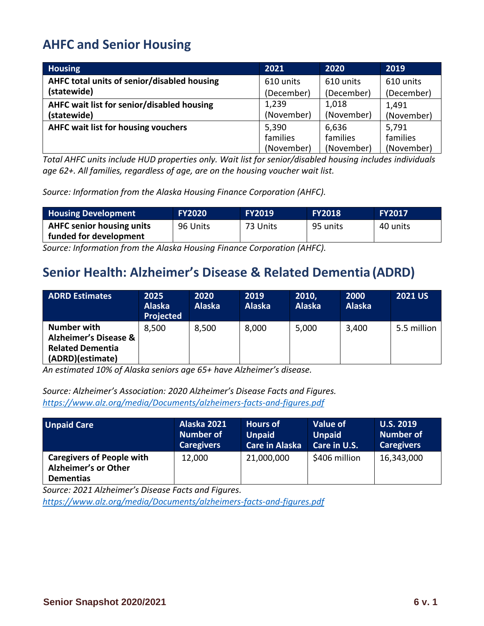# **AHFC and Senior Housing**

| <b>Housing</b>                              | 2021       | 2020       | 2019       |
|---------------------------------------------|------------|------------|------------|
| AHFC total units of senior/disabled housing | 610 units  | 610 units  | 610 units  |
| (statewide)                                 | (December) | (December) | (December) |
| AHFC wait list for senior/disabled housing  | 1,239      | 1,018      | 1,491      |
| (statewide)                                 | (November) | (November) | (November) |
| <b>AHFC wait list for housing vouchers</b>  | 5,390      | 6,636      | 5,791      |
|                                             | families   | families   | families   |
|                                             | (November) | (November) | (November) |

*Total AHFC units include HUD properties only. Wait list for senior/disabled housing includes individuals age 62+. All families, regardless of age, are on the housing voucher wait list.*

*Source: Information from the Alaska Housing Finance Corporation (AHFC).*

| <b>Housing Development</b>                                 | <b>FY2020</b> | <b>FY2019</b> | <b>FY2018</b> | <b>FY2017</b> |
|------------------------------------------------------------|---------------|---------------|---------------|---------------|
| <b>AHFC senior housing units</b><br>funded for development | 96 Units      | 73 Units      | 95 units      | 40 units      |

*Source: Information from the Alaska Housing Finance Corporation (AHFC).*

## **Senior Health: Alzheimer's Disease & Related Dementia (ADRD)**

| <b>ADRD Estimates</b>                                                                          | 2025<br><b>Alaska</b><br><b>Projected</b> | 2020<br><b>Alaska</b> | 2019<br><b>Alaska</b> | 2010,<br><b>Alaska</b> | 2000<br><b>Alaska</b> | <b>2021 US</b> |
|------------------------------------------------------------------------------------------------|-------------------------------------------|-----------------------|-----------------------|------------------------|-----------------------|----------------|
| Number with<br><b>Alzheimer's Disease &amp;</b><br><b>Related Dementia</b><br>(ADRD)(estimate) | 8.500                                     | 8,500                 | 8,000                 | 5,000                  | 3,400                 | 5.5 million    |

*An estimated 10% of Alaska seniors age 65+ have Alzheimer's disease.* 

*Source: Alzheimer's Association: 2020 Alzheimer's Disease Facts and Figures. <https://www.alz.org/media/Documents/alzheimers-facts-and-figures.pdf>*

| <b>Unpaid Care</b>                                                                  | Alaska 2021       | <b>Hours of</b>       | <b>Value of</b>     | <b>U.S. 2019</b>  |
|-------------------------------------------------------------------------------------|-------------------|-----------------------|---------------------|-------------------|
|                                                                                     | <b>Number of</b>  | <b>Unpaid</b>         | <b>Unpaid</b>       | <b>Number of</b>  |
|                                                                                     | <b>Caregivers</b> | <b>Care in Alaska</b> | <b>Care in U.S.</b> | <b>Caregivers</b> |
| <b>Caregivers of People with</b><br><b>Alzheimer's or Other</b><br><b>Dementias</b> | 12,000            | 21,000,000            | \$406 million       | 16,343,000        |

*Source: 2021 Alzheimer's Disease Facts and Figures.* 

*<https://www.alz.org/media/Documents/alzheimers-facts-and-figures.pdf>*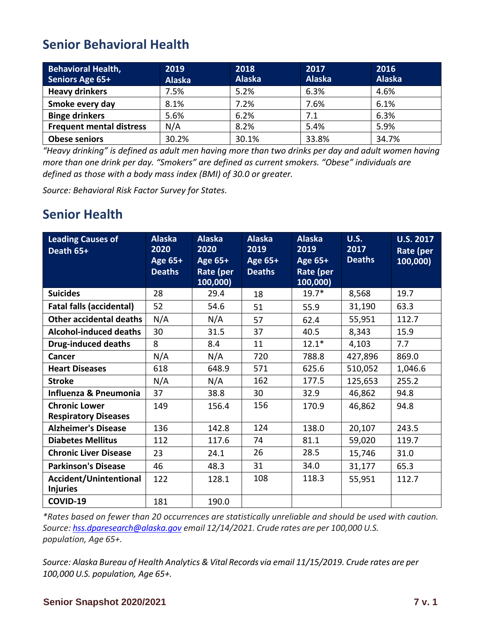## **Senior Behavioral Health**

| <b>Behavioral Health,</b><br>Seniors Age 65+ | 2019<br><b>Alaska</b> | 2018<br><b>Alaska</b> | 2017<br><b>Alaska</b> | 2016<br><b>Alaska</b> |
|----------------------------------------------|-----------------------|-----------------------|-----------------------|-----------------------|
| <b>Heavy drinkers</b>                        | 7.5%                  | 5.2%                  | 6.3%                  | 4.6%                  |
| Smoke every day                              | 8.1%                  | 7.2%                  | 7.6%                  | 6.1%                  |
| <b>Binge drinkers</b>                        | 5.6%                  | 6.2%                  | 7.1                   | 6.3%                  |
| <b>Frequent mental distress</b>              | N/A                   | 8.2%                  | 5.4%                  | 5.9%                  |
| <b>Obese seniors</b>                         | 30.2%                 | 30.1%                 | 33.8%                 | 34.7%                 |

*"Heavy drinking" is defined as adult men having more than two drinks per day and adult women having more than one drink per day. "Smokers" are defined as current smokers. "Obese" individuals are defined as those with a body mass index (BMI) of 30.0 or greater.*

*Source: Behavioral Risk Factor Survey for States.*

## **Senior Health**

| <b>Leading Causes of</b><br>Death 65+               | <b>Alaska</b><br>2020<br>Age 65+<br><b>Deaths</b> | <b>Alaska</b><br>2020<br>Age 65+<br>Rate (per<br>100,000) | <b>Alaska</b><br>2019<br>Age 65+<br><b>Deaths</b> | <b>Alaska</b><br>2019<br>Age 65+<br>Rate (per<br>100,000) | <b>U.S.</b><br>2017<br><b>Deaths</b> | <b>U.S. 2017</b><br>Rate (per<br>100,000) |
|-----------------------------------------------------|---------------------------------------------------|-----------------------------------------------------------|---------------------------------------------------|-----------------------------------------------------------|--------------------------------------|-------------------------------------------|
| <b>Suicides</b>                                     | 28                                                | 29.4                                                      | 18                                                | $19.7*$                                                   | 8,568                                | 19.7                                      |
| <b>Fatal falls (accidental)</b>                     | 52                                                | 54.6                                                      | 51                                                | 55.9                                                      | 31,190                               | 63.3                                      |
| Other accidental deaths                             | N/A                                               | N/A                                                       | 57                                                | 62.4                                                      | 55,951                               | 112.7                                     |
| <b>Alcohol-induced deaths</b>                       | 30                                                | 31.5                                                      | 37                                                | 40.5                                                      | 8,343                                | 15.9                                      |
| <b>Drug-induced deaths</b>                          | 8                                                 | 8.4                                                       | 11                                                | $12.1*$                                                   | 4,103                                | 7.7                                       |
| Cancer                                              | N/A                                               | N/A                                                       | 720                                               | 788.8                                                     | 427,896                              | 869.0                                     |
| <b>Heart Diseases</b>                               | 618                                               | 648.9                                                     | 571                                               | 625.6                                                     | 510,052                              | 1,046.6                                   |
| <b>Stroke</b>                                       | N/A                                               | N/A                                                       | 162                                               | 177.5                                                     | 125,653                              | 255.2                                     |
| Influenza & Pneumonia                               | 37                                                | 38.8                                                      | 30                                                | 32.9                                                      | 46,862                               | 94.8                                      |
| <b>Chronic Lower</b><br><b>Respiratory Diseases</b> | 149                                               | 156.4                                                     | 156                                               | 170.9                                                     | 46,862                               | 94.8                                      |
| <b>Alzheimer's Disease</b>                          | 136                                               | 142.8                                                     | 124                                               | 138.0                                                     | 20,107                               | 243.5                                     |
| <b>Diabetes Mellitus</b>                            | 112                                               | 117.6                                                     | 74                                                | 81.1                                                      | 59,020                               | 119.7                                     |
| <b>Chronic Liver Disease</b>                        | 23                                                | 24.1                                                      | 26                                                | 28.5                                                      | 15,746                               | 31.0                                      |
| <b>Parkinson's Disease</b>                          | 46                                                | 48.3                                                      | 31                                                | 34.0                                                      | 31,177                               | 65.3                                      |
| Accident/Unintentional<br><b>Injuries</b>           | 122                                               | 128.1                                                     | 108                                               | 118.3                                                     | 55,951                               | 112.7                                     |
| COVID-19                                            | 181                                               | 190.0                                                     |                                                   |                                                           |                                      |                                           |

*\*Rates based on fewer than 20 occurrences are statistically unreliable and should be used with caution. Source: [hss.dparesearch@alaska.gov](mailto:hss.dparesearch@alaska.gov) email 12/14/2021. Crude rates are per 100,000 U.S. population, Age 65+.*

*Source: Alaska Bureau of Health Analytics & Vital Records via email 11/15/2019. Crude rates are per 100,000 U.S. population, Age 65+.*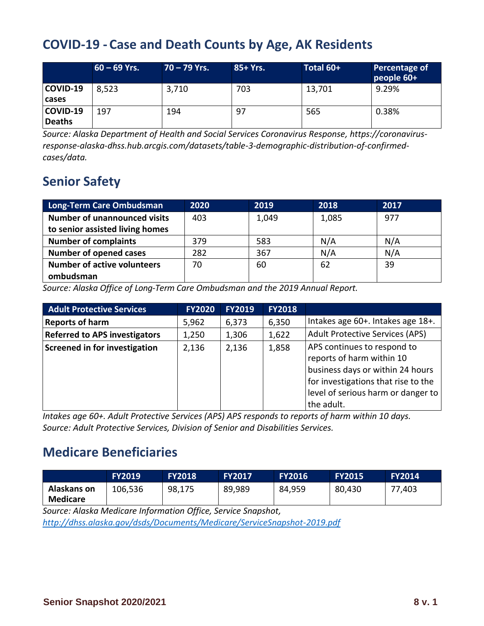## **COVID-19 - Case and Death Counts by Age, AK Residents**

|                           | $60 - 69$ Yrs. | $70 - 79$ Yrs. | 85+ Yrs. | Total 60+ | Percentage of<br>people 60+ |
|---------------------------|----------------|----------------|----------|-----------|-----------------------------|
| COVID-19<br>cases         | 8,523          | 3,710          | 703      | 13,701    | 9.29%                       |
| COVID-19<br><b>Deaths</b> | 197            | 194            | -97      | 565       | 0.38%                       |

*Source: Alaska Department of Health and Social Services Coronavirus Response, [https://coronavirus](https://coronavirus-response-alaska-dhss.hub.arcgis.com/datasets/table-3-demographic-distribution-of-confirmed-cases/data)[response-alaska-dhss.hub.arcgis.com/datasets/table-3-demographic-distribution-of-confirmed](https://coronavirus-response-alaska-dhss.hub.arcgis.com/datasets/table-3-demographic-distribution-of-confirmed-cases/data)[cases/data.](https://coronavirus-response-alaska-dhss.hub.arcgis.com/datasets/table-3-demographic-distribution-of-confirmed-cases/data)*

# **Senior Safety**

| <b>Long-Term Care Ombudsman</b>     | 2020 | 2019  | 2018  | 2017 |
|-------------------------------------|------|-------|-------|------|
| <b>Number of unannounced visits</b> | 403  | 1,049 | 1,085 | 977  |
| to senior assisted living homes     |      |       |       |      |
| <b>Number of complaints</b>         | 379  | 583   | N/A   | N/A  |
| <b>Number of opened cases</b>       | 282  | 367   | N/A   | N/A  |
| <b>Number of active volunteers</b>  | 70   | 60    | 62    | 39   |
| ombudsman                           |      |       |       |      |

*Source: Alaska Office of Long-Term Care Ombudsman and the 2019 Annual Report.* 

| <b>Adult Protective Services</b>     | <b>FY2020</b> | <b>FY2019</b> | <b>FY2018</b> |                                                                                                                                                                                         |
|--------------------------------------|---------------|---------------|---------------|-----------------------------------------------------------------------------------------------------------------------------------------------------------------------------------------|
| <b>Reports of harm</b>               | 5,962         | 6,373         | 6,350         | Intakes age 60+. Intakes age 18+.                                                                                                                                                       |
| <b>Referred to APS investigators</b> | 1,250         | 1,306         | 1,622         | <b>Adult Protective Services (APS)</b>                                                                                                                                                  |
| <b>Screened in for investigation</b> | 2,136         | 2,136         | 1,858         | APS continues to respond to<br>reports of harm within 10<br>business days or within 24 hours<br>for investigations that rise to the<br>level of serious harm or danger to<br>the adult. |

*Intakes age 60+. Adult Protective Services (APS) APS responds to reports of harm within 10 days. Source: Adult Protective Services, Division of Senior and Disabilities Services.*

## **Medicare Beneficiaries**

|                         | <b>FY2019</b> | <b>FY2018</b> | <b>FY2017</b> | <b>FY2016</b> | <b>FY2015</b> | <b>FY2014</b> |
|-------------------------|---------------|---------------|---------------|---------------|---------------|---------------|
| Alaskans on<br>Medicare | 106,536       | 98,175        | 89,989        | 84,959        | 80,430        | 77,403        |

*Source: Alaska Medicare Information Office, Service Snapshot,* 

*<http://dhss.alaska.gov/dsds/Documents/Medicare/ServiceSnapshot-2019.pdf>*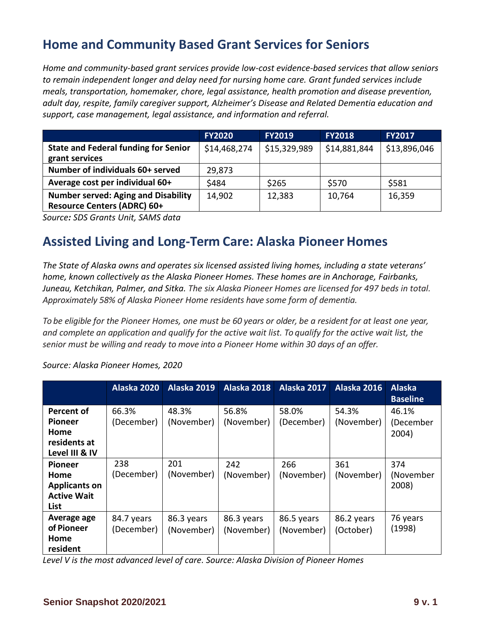## **Home and Community Based Grant Services for Seniors**

*Home and community-based grant services provide low-cost evidence-based services that allow seniors to remain independent longer and delay need for nursing home care. Grant funded services include meals, transportation, homemaker, chore, legal assistance, health promotion and disease prevention, adult day, respite, family caregiver support, Alzheimer's Disease and Related Dementia education and support, case management, legal assistance, and information and referral.* 

|                                                                                  | <b>FY2020</b> | <b>FY2019</b> | <b>FY2018</b> | <b>FY2017</b> |
|----------------------------------------------------------------------------------|---------------|---------------|---------------|---------------|
| <b>State and Federal funding for Senior</b><br>grant services                    | \$14,468,274  | \$15,329,989  | \$14,881,844  | \$13,896,046  |
| Number of individuals 60+ served                                                 | 29,873        |               |               |               |
| Average cost per individual 60+                                                  | \$484         | \$265         | \$570         | \$581         |
| <b>Number served: Aging and Disability</b><br><b>Resource Centers (ADRC) 60+</b> | 14,902        | 12,383        | 10,764        | 16,359        |

*Source: SDS Grants Unit, SAMS data*

## **Assisted Living and Long-Term Care: Alaska Pioneer Homes**

*The State of Alaska owns and operates six licensed assisted living homes, including a state veterans' home, known collectively as the Alaska Pioneer Homes. These homes are in Anchorage, Fairbanks, Juneau, Ketchikan, Palmer, and Sitka. The six Alaska Pioneer Homes are licensed for 497 beds in total. Approximately 58% of Alaska Pioneer Home residents have some form of dementia.*

*To be eligible for the Pioneer Homes, one must be 60 years or older, be a resident for at least one year, and complete an application and qualify for the active wait list. To qualify for the active wait list, the senior must be willing and ready to move into a Pioneer Home within 30 days of an offer.*

*Source: Alaska Pioneer Homes, 2020*

|                                                                              | Alaska 2020              | Alaska 2019              | Alaska 2018              | Alaska 2017              | Alaska 2016             | <b>Alaska</b><br><b>Baseline</b> |
|------------------------------------------------------------------------------|--------------------------|--------------------------|--------------------------|--------------------------|-------------------------|----------------------------------|
| Percent of<br><b>Pioneer</b><br>Home<br>residents at<br>Level III & IV       | 66.3%<br>(December)      | 48.3%<br>(November)      | 56.8%<br>(November)      | 58.0%<br>(December)      | 54.3%<br>(November)     | 46.1%<br>(December<br>2004)      |
| <b>Pioneer</b><br>Home<br><b>Applicants on</b><br><b>Active Wait</b><br>List | 238<br>(December)        | 201<br>(November)        | 242<br>(November)        | 266<br>(November)        | 361<br>(November)       | 374<br>(November<br>2008)        |
| Average age<br>of Pioneer<br>Home<br>resident                                | 84.7 years<br>(December) | 86.3 years<br>(November) | 86.3 years<br>(November) | 86.5 years<br>(November) | 86.2 years<br>(October) | 76 years<br>(1998)               |

*Level V is the most advanced level of care. Source: Alaska Division of Pioneer Homes*